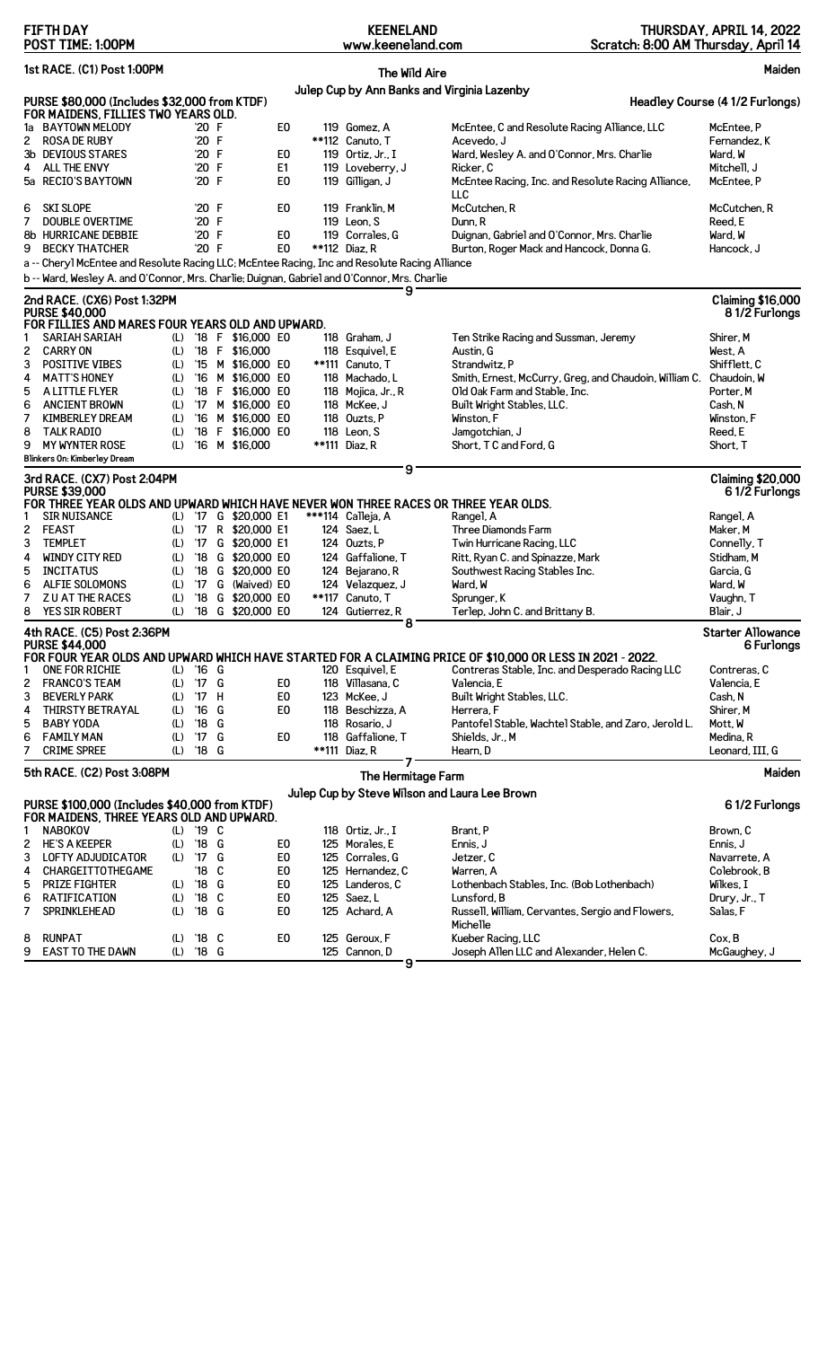|         | <b>FIFTH DAY</b><br>POST TIME: 1:00PM                                                                      |            |                |        |                       |                                  | <b>KEENELAND</b><br>www.keeneland.com |               | Scratch: 8:00 AM Thursday, April 14                                                                       | THURSDAY, APRIL 14, 2022                  |
|---------|------------------------------------------------------------------------------------------------------------|------------|----------------|--------|-----------------------|----------------------------------|---------------------------------------|---------------|-----------------------------------------------------------------------------------------------------------|-------------------------------------------|
|         | 1st RACE. (C1) Post 1:00PM                                                                                 |            |                |        |                       |                                  |                                       | The Wild Aire |                                                                                                           | Maiden                                    |
|         |                                                                                                            |            |                |        |                       |                                  |                                       |               | Julep Cup by Ann Banks and Virginia Lazenby                                                               |                                           |
|         | PURSE \$80,000 (Includes \$32,000 from KTDF)                                                               |            |                |        |                       |                                  |                                       |               |                                                                                                           | Headley Course (4 1/2 Furlongs)           |
|         | FOR MAIDENS, FILLIES TWO YEARS OLD.                                                                        |            |                |        |                       |                                  |                                       |               |                                                                                                           |                                           |
| 1a<br>2 | <b>BAYTOWN MELODY</b><br><b>ROSA DE RUBY</b>                                                               |            | '20 F<br>'20 F |        |                       | E <sub>0</sub>                   | 119 Gomez, A<br>**112 Canuto, T       |               | McEntee, C and Resolute Racing Alliance, LLC<br>Acevedo, J                                                | McEntee, P<br>Fernandez, K                |
|         | 3b DEVIOUS STARES                                                                                          |            | '20 F          |        |                       | E0                               | 119 Ortiz. Jr., I                     |               | Ward, Wesley A. and O'Connor, Mrs. Charlie                                                                | Ward, W                                   |
| 4       | ALL THE ENVY                                                                                               |            | '20 F          |        |                       | E <sub>1</sub>                   | 119 Loveberry, J                      |               | Ricker, C                                                                                                 | Mitchell. J                               |
|         | 5a RECIO'S BAYTOWN                                                                                         |            | '20 F          |        |                       | E0                               | 119 Gilligan, J                       |               | McEntee Racing, Inc. and Resolute Racing Alliance,<br>LLC                                                 | McEntee, P                                |
| 6       | SKI SLOPE                                                                                                  |            | '20 F          |        |                       | E0                               | 119 Franklin, M                       |               | McCutchen, R                                                                                              | McCutchen, R                              |
| 7       | <b>DOUBLE OVERTIME</b>                                                                                     |            | '20 F          |        |                       |                                  | 119 Leon, S                           |               | Dunn, R                                                                                                   | Reed, E                                   |
|         | 8b HURRICANE DEBBIE                                                                                        |            | '20 F          |        |                       | E <sub>0</sub>                   | 119 Corrales, G                       |               | Duignan, Gabriel and O'Connor, Mrs. Charlie                                                               | Ward, W                                   |
|         | 9 BECKY THATCHER                                                                                           |            | '20 F          |        |                       | E0                               | **112 Diaz, R                         |               | Burton, Roger Mack and Hancock, Donna G.                                                                  | Hancock, J                                |
|         | a -- Cheryl McEntee and Resolute Racing LLC: McEntee Racing, Inc and Resolute Racing Alliance              |            |                |        |                       |                                  |                                       |               |                                                                                                           |                                           |
|         | b -- Ward, Wesley A. and O'Connor, Mrs. Charlie; Duignan, Gabriel and O'Connor, Mrs. Charlie               |            |                |        |                       |                                  |                                       | 9             |                                                                                                           |                                           |
|         | 2nd RACE. (CX6) Post 1:32PM<br><b>PURSE \$40,000</b><br>FOR FILLIES AND MARES FOUR YEARS OLD AND UPWARD.   |            |                |        |                       |                                  |                                       |               |                                                                                                           | <b>Claiming \$16,000</b><br>81/2 Furlongs |
|         | <b>SARIAH SARIAH</b>                                                                                       |            |                |        | (L) '18 F \$16,000 E0 |                                  | 118 Graham, J                         |               | Ten Strike Racing and Sussman, Jeremy                                                                     | Shirer, M                                 |
| 2       | <b>CARRY ON</b>                                                                                            | (L)        |                |        | '18 F \$16,000        |                                  | 118 Esquivel, E                       |               | Austin, G                                                                                                 | West, A                                   |
| 3       | <b>POSITIVE VIBES</b>                                                                                      | (L)        |                |        | '15 M \$16,000 E0     |                                  | **111 Canuto. T                       |               | Strandwitz, P                                                                                             | Shifflett, C                              |
| 4       | <b>MATT'S HONEY</b>                                                                                        | (L)        |                |        | '16 M \$16,000 E0     |                                  | 118 Machado, L                        |               | Smith, Ernest, McCurry, Greg, and Chaudoin, William C. Chaudoin, W                                        |                                           |
| 5       | A LITTLE FLYER                                                                                             | (L)        |                |        | '18 F \$16,000 E0     |                                  | 118 Mojica, Jr., R                    |               | Old Oak Farm and Stable, Inc.                                                                             | Porter, M                                 |
| 6       | <b>ANCIENT BROWN</b>                                                                                       | (L)        |                |        | '17 M \$16,000 E0     |                                  | 118 McKee, J                          |               | Built Wright Stables, LLC.                                                                                | Cash, N                                   |
| 7       | KIMBERLEY DREAM                                                                                            | (L)        |                |        | '16 M \$16,000 E0     |                                  | 118 Ouzts, P                          |               | Winston, F                                                                                                | Winston, F                                |
| 8       | <b>TALK RADIO</b>                                                                                          | (L)        |                |        | '18 F \$16,000 E0     |                                  | 118 Leon, S                           |               | Jamgotchian, J                                                                                            | Reed, E                                   |
| 9       | <b>MY WYNTER ROSE</b>                                                                                      | (L)        |                |        | '16 M \$16,000        |                                  | **111 Diaz, R                         |               | Short, TC and Ford, G                                                                                     | Short, T                                  |
|         | Blinkers On: Kimberley Dream                                                                               |            |                |        |                       |                                  |                                       | 9             |                                                                                                           |                                           |
|         | 3rd RACE. (CX7) Post 2:04PM<br><b>PURSE \$39,000</b>                                                       |            |                |        |                       |                                  |                                       |               |                                                                                                           | <b>Claiming \$20,000</b><br>61/2 Furlongs |
|         | FOR THREE YEAR OLDS AND UPWARD WHICH HAVE NEVER WON THREE RACES OR THREE YEAR OLDS.<br><b>SIR NUISANCE</b> |            |                |        | '17 G \$20,000 E1     |                                  | ***114 Calleja, A                     |               |                                                                                                           |                                           |
| 1<br>2  | <b>FEAST</b>                                                                                               | (L)<br>(L) |                |        | '17 R \$20,000 E1     |                                  | 124 Saez, L                           |               | Rangel, A<br>Three Diamonds Farm                                                                          | Rangel, A<br>Maker, M                     |
| 3       | <b>TEMPLET</b>                                                                                             | (L)        | '17            |        | G \$20,000 E1         |                                  | 124 Ouzts. P                          |               | Twin Hurricane Racing, LLC                                                                                | Connelly, T                               |
| 4       | WINDY CITY RED                                                                                             | (L)        |                |        | '18 G \$20,000 E0     |                                  | 124 Gaffalione, T                     |               | Ritt, Ryan C. and Spinazze, Mark                                                                          | Stidham, M                                |
| 5       | <b>INCITATUS</b>                                                                                           | (L)        |                |        | '18 G \$20,000 E0     |                                  | 124 Bejarano, R                       |               | Southwest Racing Stables Inc.                                                                             | Garcia, G                                 |
| 6       | ALFIE SOLOMONS                                                                                             | (L)        | $^{\prime}$ 17 |        | G (Waived) EO         |                                  | 124 Velazquez, J                      |               | Ward, W                                                                                                   | Ward, W                                   |
| 7       | <b>ZU AT THE RACES</b>                                                                                     | (L)        |                |        | '18 G \$20,000 E0     |                                  | **117 Canuto, T                       |               | Sprunger, K                                                                                               | Vaughn, T                                 |
| 8       | YES SIR ROBERT                                                                                             | (L)        |                |        | '18 G \$20,000 E0     |                                  | 124 Gutierrez, R                      |               | Terlep, John C. and Brittany B.                                                                           | Blair, J                                  |
|         | 4th RACE. (C5) Post 2:36PM                                                                                 |            |                |        |                       |                                  |                                       | 8             |                                                                                                           | <b>Starter Allowance</b>                  |
|         | <b>PURSE \$44,000</b>                                                                                      |            |                |        |                       |                                  |                                       |               |                                                                                                           | 6 Furlongs                                |
|         |                                                                                                            |            |                |        |                       |                                  |                                       |               | FOR FOUR YEAR OLDS AND UPWARD WHICH HAVE STARTED FOR A CLAIMING PRICE OF \$10,000 OR LESS IN 2021 - 2022. |                                           |
|         | ONE FOR RICHIE<br><b>FRANCO'S TEAM</b>                                                                     | (L)        | '16 G<br>'17 G |        |                       |                                  | 120 Esquivel, E<br>118 Villasana, C   |               | Contreras Stable, Inc. and Desperado Racing LLC<br>Valencia, E                                            | Contreras, C<br>Valencia, E               |
| 2       |                                                                                                            | (L)        |                |        |                       | E0                               |                                       |               |                                                                                                           |                                           |
| 3       | <b>BEVERLY PARK</b><br><b>THIRSTY BETRAYAL</b>                                                             | (L)        | '17<br>'16     | н<br>G |                       | E <sub>0</sub><br>E <sub>0</sub> | 123 McKee, J                          |               | Built Wright Stables, LLC.<br>Herrera, F                                                                  | Cash, N<br>Shirer, M                      |
| 4       | <b>BABY YODA</b>                                                                                           | (L)        | '18 G          |        |                       |                                  | 118 Beschizza, A<br>118 Rosario, J    |               |                                                                                                           | Mott. W                                   |
| 5       |                                                                                                            | (L)        |                | G      |                       |                                  |                                       |               | Pantofel Stable, Wachtel Stable, and Zaro, Jerold L.                                                      | Medina, R                                 |
| 6<br>7  | <b>FAMILY MAN</b><br><b>CRIME SPREE</b>                                                                    | (L)<br>(L) | '17<br>'18 G   |        |                       | E0                               | 118 Gaffalione, T<br>**111 Diaz, R    |               | Shields, Jr., M<br>Hearn, D                                                                               | Leonard, III, G                           |
|         | 5th RACE. (C2) Post 3:08PM                                                                                 |            |                |        |                       |                                  |                                       | 7             |                                                                                                           |                                           |
|         |                                                                                                            |            |                |        |                       |                                  | The Hermitage Farm                    |               |                                                                                                           | Maiden                                    |
|         | PURSE \$100,000 (Includes \$40,000 from KTDF)                                                              |            |                |        |                       |                                  |                                       |               | Julep Cup by Steve Wilson and Laura Lee Brown                                                             | 61/2 Furlongs                             |
|         | FOR MAIDENS, THREE YEARS OLD AND UPWARD.                                                                   |            |                |        |                       |                                  |                                       |               |                                                                                                           |                                           |
| 1       | <b>NABOKOV</b>                                                                                             |            | (L) '19 C      |        |                       |                                  | 118 Ortiz, Jr., I                     |               | Brant, P                                                                                                  | Brown, C                                  |
| 2       | <b>HE'S A KEEPER</b>                                                                                       | (L)        | '18 G          |        |                       | E0                               | 125 Morales, E                        |               | Ennis, J                                                                                                  | Ennis, J                                  |
| 3       | LOFTY ADJUDICATOR                                                                                          | (L)        | 17             | G      |                       | E <sub>0</sub>                   | 125 Corrales, G                       |               | Jetzer, C                                                                                                 | Navarrete, A                              |
| 4       | CHARGEITTOTHEGAME                                                                                          |            | '18            | C      |                       | E <sub>0</sub>                   | 125 Hernandez, C                      |               | Warren, A                                                                                                 | Colebrook, B                              |
| 5       | <b>PRIZE FIGHTER</b>                                                                                       | (L)        | '18 G          |        |                       | E <sub>0</sub>                   | 125 Landeros, C                       |               | Lothenbach Stables, Inc. (Bob Lothenbach)                                                                 | Wilkes, I                                 |
| 6       | RATIFICATION                                                                                               | (L)        | '18            | C      |                       | E0                               | 125 Saez, L                           |               | Lunsford, B                                                                                               | Drury, Jr., T                             |
| 7       | SPRINKLEHEAD                                                                                               | (L)        | '18 G          |        |                       | E <sub>0</sub>                   | 125 Achard, A                         |               | Russell, William, Cervantes, Sergio and Flowers,<br>Michelle                                              | Salas, F                                  |
| 8       | <b>RUNPAT</b>                                                                                              | (L)        | '18 C          |        |                       | E0                               | 125 Geroux, F                         |               | Kueber Racing, LLC                                                                                        | Cox, B                                    |
| 9       | EAST TO THE DAWN                                                                                           | (L)        | '18 G          |        |                       |                                  | 125 Cannon, D                         |               | Joseph Allen LLC and Alexander, Helen C.                                                                  | McGaughey, J                              |

**9**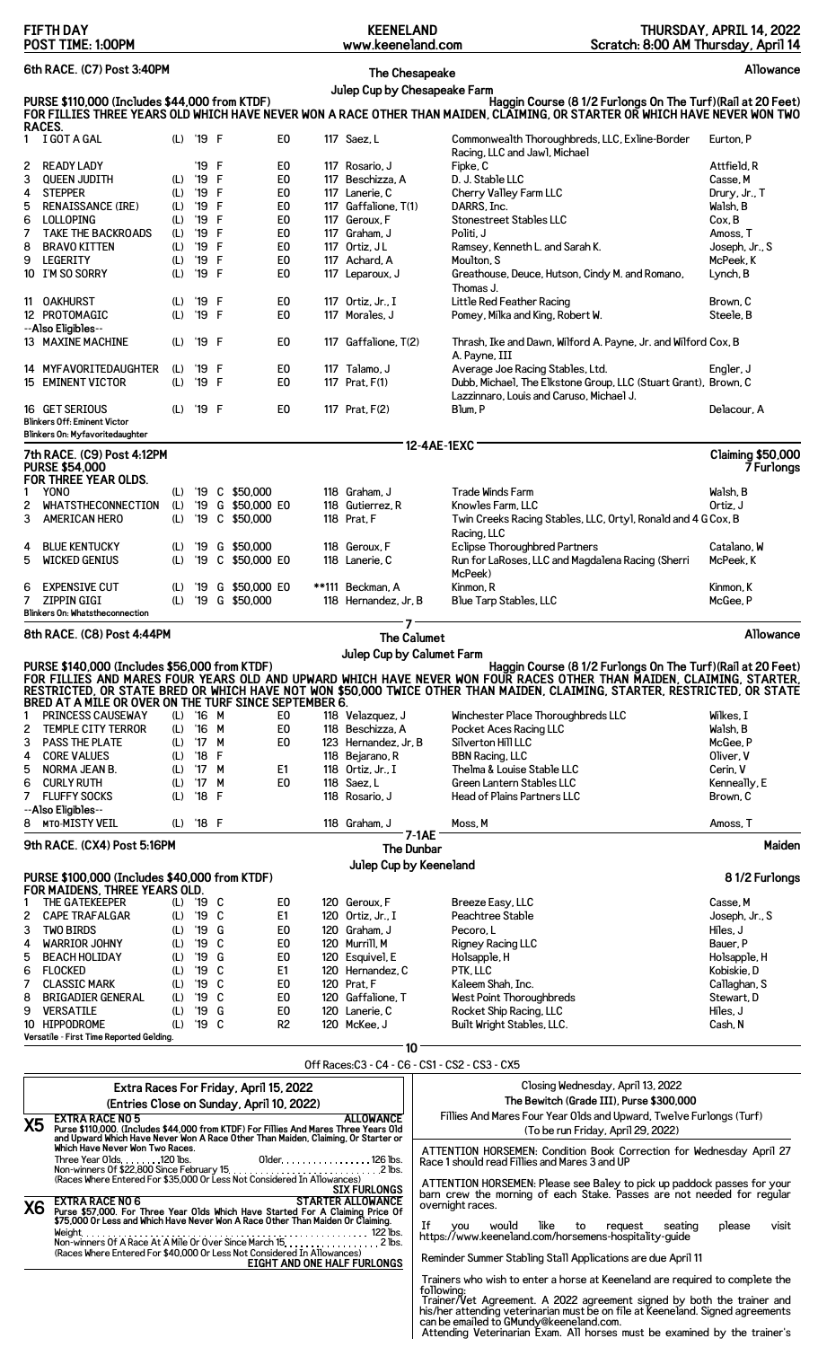| <b>FIFTH DAY</b><br>POST TIME: 1:00PM                                                                                                                                                                                                                                        |                                                                                                                                                                                                                                                                                                                                                                                                  |            |                                 |          |                                     |                                                                                                                          |                                                                                                                                                              | <b>KEENELAND</b><br>www.keeneland.com   |                            |                                                                                                                                                                                                        | THURSDAY, APRIL 14, 2022<br>Scratch: 8:00 AM Thursday, April 14 |  |
|------------------------------------------------------------------------------------------------------------------------------------------------------------------------------------------------------------------------------------------------------------------------------|--------------------------------------------------------------------------------------------------------------------------------------------------------------------------------------------------------------------------------------------------------------------------------------------------------------------------------------------------------------------------------------------------|------------|---------------------------------|----------|-------------------------------------|--------------------------------------------------------------------------------------------------------------------------|--------------------------------------------------------------------------------------------------------------------------------------------------------------|-----------------------------------------|----------------------------|--------------------------------------------------------------------------------------------------------------------------------------------------------------------------------------------------------|-----------------------------------------------------------------|--|
| 6th RACE. (C7) Post 3:40PM                                                                                                                                                                                                                                                   |                                                                                                                                                                                                                                                                                                                                                                                                  |            |                                 |          |                                     |                                                                                                                          |                                                                                                                                                              | The Chesapeake                          |                            |                                                                                                                                                                                                        | Allowance                                                       |  |
| Julep Cup by Chesapeake Farm<br>PURSE \$110,000 (Includes \$44,000 from KTDF)<br>Haggin Course (8 1/2 Furlongs On The Turf) (Rail at 20 Feet)<br>FOR FILLIES THREE YEARS OLD WHICH HAVE NEVER WON A RACE OTHER THAN MAIDEN, CLAIMING, OR STARTER OR WHICH HAVE NEVER WON TWO |                                                                                                                                                                                                                                                                                                                                                                                                  |            |                                 |          |                                     |                                                                                                                          |                                                                                                                                                              |                                         |                            |                                                                                                                                                                                                        |                                                                 |  |
| RACES.<br>$\mathbf{1}$                                                                                                                                                                                                                                                       | I GOT A GAL                                                                                                                                                                                                                                                                                                                                                                                      | (L)        | '19 F                           |          |                                     | E0                                                                                                                       |                                                                                                                                                              | 117 Saez, L                             |                            | Commonwealth Thoroughbreds, LLC, Exline-Border                                                                                                                                                         | Eurton, P                                                       |  |
| 2                                                                                                                                                                                                                                                                            | <b>READY LADY</b>                                                                                                                                                                                                                                                                                                                                                                                |            | '19                             | F        |                                     | E0                                                                                                                       |                                                                                                                                                              | 117 Rosario, J                          |                            | Racing, LLC and Jawl, Michael<br>Fipke, C                                                                                                                                                              | Attfield, R                                                     |  |
| 3                                                                                                                                                                                                                                                                            | <b>QUEEN JUDITH</b>                                                                                                                                                                                                                                                                                                                                                                              | (L)        | '19                             | F        |                                     | E <sub>0</sub>                                                                                                           |                                                                                                                                                              | 117 Beschizza, A                        |                            | D. J. Stable LLC                                                                                                                                                                                       | Casse, M                                                        |  |
| 4                                                                                                                                                                                                                                                                            | <b>STEPPER</b><br><b>RENAISSANCE (IRE)</b>                                                                                                                                                                                                                                                                                                                                                       | (L)        | '19                             | F        |                                     | E <sub>0</sub>                                                                                                           |                                                                                                                                                              | 117 Lanerie, C<br>117 Gaffalione, T(1)  |                            | Cherry Valley Farm LLC                                                                                                                                                                                 | Drury, Jr., T                                                   |  |
| 5<br>6                                                                                                                                                                                                                                                                       | LOLLOPING                                                                                                                                                                                                                                                                                                                                                                                        | (L)<br>(L) | '19<br>'19                      | F<br>F   |                                     | E <sub>0</sub><br>E <sub>0</sub>                                                                                         |                                                                                                                                                              | 117 Geroux, F                           |                            | DARRS, Inc.<br>Stonestreet Stables LLC                                                                                                                                                                 | Walsh, B<br>Cox, B                                              |  |
| 7                                                                                                                                                                                                                                                                            | <b>TAKE THE BACKROADS</b>                                                                                                                                                                                                                                                                                                                                                                        | (L)        | '19                             | F        |                                     | E <sub>0</sub>                                                                                                           |                                                                                                                                                              | 117 Graham, J                           |                            | Politi, J                                                                                                                                                                                              | Amoss, T                                                        |  |
| 8<br>9                                                                                                                                                                                                                                                                       | <b>BRAVO KITTEN</b><br>LEGERITY                                                                                                                                                                                                                                                                                                                                                                  | (L)        | '19<br>'19                      | F<br>F   |                                     | E <sub>0</sub><br>E <sub>0</sub>                                                                                         |                                                                                                                                                              | 117 Ortiz, JL<br>117 Achard, A          |                            | Ramsey, Kenneth L. and Sarah K.<br>Moulton, S                                                                                                                                                          | Joseph, Jr., S<br>McPeek, K                                     |  |
| 10                                                                                                                                                                                                                                                                           | I'M SO SORRY                                                                                                                                                                                                                                                                                                                                                                                     | (L)<br>(L) | '19                             | F        |                                     | E0                                                                                                                       |                                                                                                                                                              | 117 Leparoux, J                         |                            | Greathouse, Deuce, Hutson, Cindy M. and Romano,<br>Thomas J.                                                                                                                                           | Lynch, B                                                        |  |
|                                                                                                                                                                                                                                                                              | 11 OAKHURST<br>12 PROTOMAGIC                                                                                                                                                                                                                                                                                                                                                                     | (L)<br>(L) | '19<br>'19                      | -F<br>-F |                                     | E0<br>E <sub>0</sub>                                                                                                     |                                                                                                                                                              | 117 Ortiz, Jr., I<br>117 Morales, J     |                            | Little Red Feather Racing<br>Pomey, Milka and King, Robert W.                                                                                                                                          | Brown, C<br>Steele, B                                           |  |
|                                                                                                                                                                                                                                                                              | --Also Eligibles--<br>13 MAXINE MACHINE                                                                                                                                                                                                                                                                                                                                                          | (L)        | '19 F                           |          |                                     | E0                                                                                                                       |                                                                                                                                                              | 117 Gaffalione, T(2)                    |                            | Thrash, Ike and Dawn, Wilford A. Payne, Jr. and Wilford Cox, B<br>A. Payne, III                                                                                                                        |                                                                 |  |
|                                                                                                                                                                                                                                                                              | 14 MYFAVORITEDAUGHTER<br>15 EMINENT VICTOR                                                                                                                                                                                                                                                                                                                                                       | (L)<br>(L) | '19<br>'19                      | -F<br>-F |                                     | E0<br>E <sub>0</sub>                                                                                                     |                                                                                                                                                              | 117 Talamo, J<br>117 Prat, F(1)         |                            | Average Joe Racing Stables, Ltd.<br>Dubb, Michael, The Elkstone Group, LLC (Stuart Grant), Brown, C                                                                                                    | Engler, J                                                       |  |
|                                                                                                                                                                                                                                                                              | 16 GET SERIOUS                                                                                                                                                                                                                                                                                                                                                                                   | (L)        | '19 F                           |          |                                     | E0                                                                                                                       |                                                                                                                                                              | 117 Prat, F(2)                          |                            | Lazzinnaro, Louis and Caruso, Michael J.<br>Blum, P                                                                                                                                                    | Delacour, A                                                     |  |
|                                                                                                                                                                                                                                                                              | <b>Blinkers Off: Eminent Victor</b><br>Blinkers On: Myfavoritedaughter                                                                                                                                                                                                                                                                                                                           |            |                                 |          |                                     |                                                                                                                          |                                                                                                                                                              |                                         |                            |                                                                                                                                                                                                        |                                                                 |  |
|                                                                                                                                                                                                                                                                              | 7th RACE. (C9) Post 4:12PM                                                                                                                                                                                                                                                                                                                                                                       |            |                                 |          |                                     |                                                                                                                          |                                                                                                                                                              |                                         |                            | 12-4AE-1EXC                                                                                                                                                                                            | <b>Claiming \$50,000</b>                                        |  |
|                                                                                                                                                                                                                                                                              | <b>PURSE \$54,000</b><br>FOR THREE YEAR OLDS.                                                                                                                                                                                                                                                                                                                                                    |            |                                 |          |                                     |                                                                                                                          |                                                                                                                                                              |                                         |                            |                                                                                                                                                                                                        | 7 Furlongs                                                      |  |
| 1                                                                                                                                                                                                                                                                            | <b>YONO</b>                                                                                                                                                                                                                                                                                                                                                                                      | (L)        |                                 |          | '19 C \$50,000                      |                                                                                                                          |                                                                                                                                                              | 118 Graham, J                           |                            | Trade Winds Farm                                                                                                                                                                                       | Walsh, B                                                        |  |
| 2<br>3                                                                                                                                                                                                                                                                       | <b>WHATSTHECONNECTION</b><br>AMERICAN HERO                                                                                                                                                                                                                                                                                                                                                       | (L)<br>(L) |                                 |          | '19 G \$50,000 E0<br>'19 C \$50,000 |                                                                                                                          |                                                                                                                                                              | 118 Gutierrez, R<br>118 Prat, F         |                            | Knowles Farm, LLC<br>Twin Creeks Racing Stables, LLC, Ortyl, Ronald and 4 GCox, B<br>Racing, LLC                                                                                                       | Ortiz, J                                                        |  |
| 4<br>5                                                                                                                                                                                                                                                                       | <b>BLUE KENTUCKY</b><br><b>WICKED GENIUS</b>                                                                                                                                                                                                                                                                                                                                                     | (L)<br>(L) | '19<br>'19                      | C        | G \$50,000<br>\$50,000 E0           |                                                                                                                          |                                                                                                                                                              | 118 Geroux, F<br>118 Lanerie, C         |                            | <b>Eclipse Thoroughbred Partners</b><br>Run for LaRoses, LLC and Magdalena Racing (Sherri                                                                                                              | Catalano. W<br>McPeek, K                                        |  |
| 6                                                                                                                                                                                                                                                                            | <b>EXPENSIVE CUT</b>                                                                                                                                                                                                                                                                                                                                                                             | (L)        | '19                             |          | G \$50,000 E0                       |                                                                                                                          |                                                                                                                                                              | **111 Beckman, A                        |                            | McPeek)<br>Kinmon, R                                                                                                                                                                                   | Kinmon, K                                                       |  |
| $\overline{7}$                                                                                                                                                                                                                                                               | ZIPPIN GIGI<br>Blinkers On: Whatstheconnection                                                                                                                                                                                                                                                                                                                                                   | (L)        |                                 |          | '19 G \$50,000                      |                                                                                                                          |                                                                                                                                                              | 118 Hernandez, Jr, B                    |                            | Blue Tarp Stables, LLC                                                                                                                                                                                 | McGee, P                                                        |  |
|                                                                                                                                                                                                                                                                              | 8th RACE. (C8) Post 4:44PM                                                                                                                                                                                                                                                                                                                                                                       |            |                                 |          |                                     |                                                                                                                          |                                                                                                                                                              | <b>The Calumet</b>                      |                            |                                                                                                                                                                                                        | Allowance                                                       |  |
|                                                                                                                                                                                                                                                                              | Julep Cup by Calumet Farm<br>Haggin Course (8 1/2 Furlongs On The Turf) (Rail at 20 Feet)<br>PURSE \$140,000 (Includes \$56,000 from KTDF)<br>FOR FILLIES AND MARES FOUR YEARS OLD AND UPWARD WHICH HAVE NEVER WON FOUR RACES OTHER THAN MAIDEN, CLAIMING, STARTER,<br>RESTRICTED, OR STATE BRED OR WHICH HAVE NOT WON \$50,000 TWICE OTHER THAN MAIDEN, CLAIMING, STARTER, RESTRICTED, OR STATE |            |                                 |          |                                     |                                                                                                                          |                                                                                                                                                              |                                         |                            |                                                                                                                                                                                                        |                                                                 |  |
|                                                                                                                                                                                                                                                                              | BRED AT A MILE OR OVER ON THE TURF SINCE SEPTEMBER 6.<br>PRINCESS CAUSEWAY                                                                                                                                                                                                                                                                                                                       | (L)        | $^{\prime}16$                   | M        |                                     | E0                                                                                                                       |                                                                                                                                                              | 118 Velazquez, J                        |                            | Winchester Place Thoroughbreds LLC                                                                                                                                                                     | Wilkes, I                                                       |  |
| 2                                                                                                                                                                                                                                                                            | TEMPLE CITY TERROR                                                                                                                                                                                                                                                                                                                                                                               | (L)        | $^{\prime}16$                   | M        |                                     | E <sub>0</sub>                                                                                                           |                                                                                                                                                              | 118 Beschizza, A                        |                            | Pocket Aces Racing LLC                                                                                                                                                                                 | Walsh. B                                                        |  |
| 3<br>4                                                                                                                                                                                                                                                                       | <b>PASS THE PLATE</b><br><b>CORE VALUES</b>                                                                                                                                                                                                                                                                                                                                                      | (L)<br>(L) | $^{\prime}$ 17<br>$^{\prime}18$ | М<br>F   |                                     | E <sub>0</sub>                                                                                                           |                                                                                                                                                              | 123 Hernandez, Jr, B<br>118 Bejarano, R |                            | Silverton Hill LLC<br><b>BBN Racing, LLC</b>                                                                                                                                                           | McGee, P<br>Oliver, V                                           |  |
| 5                                                                                                                                                                                                                                                                            | NORMA JEAN B.                                                                                                                                                                                                                                                                                                                                                                                    | (L)        | $^{\prime}17$                   | M        |                                     | E1                                                                                                                       |                                                                                                                                                              | 118 Ortiz, Jr., I                       |                            | The lma & Louise Stable LLC                                                                                                                                                                            | Cerin, V                                                        |  |
| 6                                                                                                                                                                                                                                                                            | <b>CURLY RUTH</b>                                                                                                                                                                                                                                                                                                                                                                                | (L)        | $^{\prime}$ 17                  | M        |                                     | E <sub>0</sub>                                                                                                           |                                                                                                                                                              | 118 Saez, L                             |                            | Green Lantern Stables LLC                                                                                                                                                                              | Kenneally, E                                                    |  |
| $\mathcal{I}$                                                                                                                                                                                                                                                                | <b>FLUFFY SOCKS</b><br>--Also Eligibles--                                                                                                                                                                                                                                                                                                                                                        | (L)        | '18                             | F        |                                     |                                                                                                                          |                                                                                                                                                              | 118 Rosario, J                          |                            | <b>Head of Plains Partners LLC</b>                                                                                                                                                                     | Brown, C                                                        |  |
| 8                                                                                                                                                                                                                                                                            | MTO-MISTY VEIL                                                                                                                                                                                                                                                                                                                                                                                   | (L)        | '18 F                           |          |                                     |                                                                                                                          |                                                                                                                                                              | 118 Graham, J                           |                            | Moss, M                                                                                                                                                                                                | Amoss, T                                                        |  |
|                                                                                                                                                                                                                                                                              | 9th RACE. (CX4) Post 5:16PM                                                                                                                                                                                                                                                                                                                                                                      |            |                                 |          |                                     |                                                                                                                          |                                                                                                                                                              |                                         | 7-1AE<br><b>The Dunbar</b> |                                                                                                                                                                                                        | Maiden                                                          |  |
|                                                                                                                                                                                                                                                                              | PURSE \$100,000 (Includes \$40,000 from KTDF)                                                                                                                                                                                                                                                                                                                                                    |            |                                 |          |                                     |                                                                                                                          |                                                                                                                                                              | Julep Cup by Keeneland                  |                            |                                                                                                                                                                                                        | 81/2 Furlongs                                                   |  |
|                                                                                                                                                                                                                                                                              | FOR MAIDENS, THREE YEARS OLD.<br>THE GATEKEEPER                                                                                                                                                                                                                                                                                                                                                  | (L)        | '19 C                           |          |                                     | E0                                                                                                                       |                                                                                                                                                              | 120 Geroux, F                           |                            | Breeze Easy, LLC                                                                                                                                                                                       | Casse, M                                                        |  |
| 2                                                                                                                                                                                                                                                                            | <b>CAPE TRAFALGAR</b>                                                                                                                                                                                                                                                                                                                                                                            | (L)        | $^{\prime}19$                   | C        |                                     | E1                                                                                                                       |                                                                                                                                                              | 120 Ortiz, Jr., I                       |                            | Peachtree Stable                                                                                                                                                                                       | Joseph, Jr., S                                                  |  |
| 3                                                                                                                                                                                                                                                                            | <b>TWO BIRDS</b>                                                                                                                                                                                                                                                                                                                                                                                 | (L)        | '19                             | G        |                                     | E <sub>0</sub>                                                                                                           |                                                                                                                                                              | 120 Graham, J                           |                            | Pecoro.L                                                                                                                                                                                               | Hiles, J                                                        |  |
| 4                                                                                                                                                                                                                                                                            | <b>WARRIOR JOHNY</b>                                                                                                                                                                                                                                                                                                                                                                             | (L)        | '19<br>$^{\prime}19$            | C<br>G   |                                     | E <sub>0</sub><br>E <sub>0</sub>                                                                                         |                                                                                                                                                              | 120 Murrill, M                          |                            | Rigney Racing LLC                                                                                                                                                                                      | Bauer, P                                                        |  |
| 5<br>6                                                                                                                                                                                                                                                                       | <b>BEACH HOLIDAY</b><br><b>FLOCKED</b>                                                                                                                                                                                                                                                                                                                                                           | (L)<br>(L) | '19                             | C        |                                     | E1                                                                                                                       |                                                                                                                                                              | 120 Esquivel, E<br>120 Hernandez, C     |                            | Holsapple, H<br>PTK, LLC                                                                                                                                                                               | Ho1sapp1e, H<br>Kobiskie, D                                     |  |
| 7                                                                                                                                                                                                                                                                            | <b>CLASSIC MARK</b>                                                                                                                                                                                                                                                                                                                                                                              | (L)        | '19                             | - C      |                                     | E <sub>0</sub>                                                                                                           |                                                                                                                                                              | 120 Prat, F                             |                            | Kaleem Shah, Inc.                                                                                                                                                                                      | Callaghan, S                                                    |  |
| 8<br>9                                                                                                                                                                                                                                                                       | <b>BRIGADIER GENERAL</b><br><b>VERSATILE</b>                                                                                                                                                                                                                                                                                                                                                     | (L)<br>(L) | $^{\prime}19$<br>'19            | C<br>G   |                                     | E <sub>0</sub><br>E <sub>0</sub>                                                                                         |                                                                                                                                                              | 120 Gaffalione, T<br>120 Lanerie, C     |                            | West Point Thoroughbreds<br>Rocket Ship Racing, LLC                                                                                                                                                    | Stewart, D<br>Hiles, J                                          |  |
|                                                                                                                                                                                                                                                                              | 10 HIPPODROME                                                                                                                                                                                                                                                                                                                                                                                    | (L)        | $'19$ C                         |          |                                     | R <sub>2</sub>                                                                                                           |                                                                                                                                                              | 120 McKee, J                            |                            | Built Wright Stables, LLC.                                                                                                                                                                             | Cash, N                                                         |  |
|                                                                                                                                                                                                                                                                              | Versatile - First Time Reported Gelding.                                                                                                                                                                                                                                                                                                                                                         |            |                                 |          |                                     |                                                                                                                          |                                                                                                                                                              |                                         | 10                         |                                                                                                                                                                                                        |                                                                 |  |
|                                                                                                                                                                                                                                                                              |                                                                                                                                                                                                                                                                                                                                                                                                  |            |                                 |          |                                     |                                                                                                                          |                                                                                                                                                              |                                         |                            | Off Races: C3 - C4 - C6 - CS1 - CS2 - CS3 - CX5                                                                                                                                                        |                                                                 |  |
|                                                                                                                                                                                                                                                                              | Closing Wednesday, April 13, 2022<br>Extra Races For Friday, April 15, 2022<br>The Bewitch (Grade III), Purse \$300,000<br>(Entries Close on Sunday, April 10, 2022)                                                                                                                                                                                                                             |            |                                 |          |                                     |                                                                                                                          |                                                                                                                                                              |                                         |                            |                                                                                                                                                                                                        |                                                                 |  |
| X5                                                                                                                                                                                                                                                                           | <b>EXTRA RACE NO 5</b>                                                                                                                                                                                                                                                                                                                                                                           |            |                                 |          |                                     |                                                                                                                          |                                                                                                                                                              | <b>ALLOWANCE</b>                        |                            | Fillies And Mares Four Year Olds and Upward, Twelve Furlongs (Turf)                                                                                                                                    |                                                                 |  |
| Purse \$110,000. (Includes \$44,000 from KTDF) For Fillies And Mares Three Years Old<br>and Upward Which Have Never Won A Race Other Than Maiden, Claiming, Or Starter or<br>Which Have Never Won Two Races.                                                                 |                                                                                                                                                                                                                                                                                                                                                                                                  |            |                                 |          |                                     |                                                                                                                          | (To be run Friday, April 29, 2022)<br>ATTENTION HORSEMEN: Condition Book Correction for Wednesday April 27                                                   |                                         |                            |                                                                                                                                                                                                        |                                                                 |  |
| Three Year Olds. 120 lbs.<br>Older. 126 lbs.                                                                                                                                                                                                                                 |                                                                                                                                                                                                                                                                                                                                                                                                  |            |                                 | .2 lbs.  |                                     | Race 1 should read Fillies and Mares 3 and UP<br>ATTENTION HORSEMEN. Please see Baley to pick up paddock passes for your |                                                                                                                                                              |                                         |                            |                                                                                                                                                                                                        |                                                                 |  |
| <b>SIX FURLONGS</b><br>barn crew the morning of each Stake. Passes are not needed for regular<br><b>STARTER ALLOWANCE</b><br><b>EXTRA RACE NO 6</b><br>overnight races.<br>X6<br>Purse \$57,000. For Three Year Olds Which Have Started For A Claiming Price Of              |                                                                                                                                                                                                                                                                                                                                                                                                  |            |                                 |          |                                     |                                                                                                                          |                                                                                                                                                              |                                         |                            |                                                                                                                                                                                                        |                                                                 |  |
| \$75,000 Or Less and Which Have Never Won A Race Other Than Maiden Or Claiming.<br>(Races Where Entered For \$40,000 Or Less Not Considered In Allowances)                                                                                                                   |                                                                                                                                                                                                                                                                                                                                                                                                  |            |                                 |          |                                     |                                                                                                                          | would<br>like<br>to<br>request<br>please<br>visit<br>seating<br>If you would like to request seatin<br>https://www.keeneland.com/horsemens-hospitality-guide |                                         |                            |                                                                                                                                                                                                        |                                                                 |  |
|                                                                                                                                                                                                                                                                              |                                                                                                                                                                                                                                                                                                                                                                                                  |            |                                 |          |                                     |                                                                                                                          |                                                                                                                                                              | EIGHT AND ONE HALF FURLONGS             |                            | Reminder Summer Stabling Stall Applications are due April 11                                                                                                                                           |                                                                 |  |
|                                                                                                                                                                                                                                                                              |                                                                                                                                                                                                                                                                                                                                                                                                  |            |                                 |          |                                     |                                                                                                                          |                                                                                                                                                              |                                         |                            | Trainers who wish to enter a horse at Keeneland are required to complete the<br>following:<br>Trainer/Vet Agreement. A 2022 agreement signed by both the trainer and                                   |                                                                 |  |
|                                                                                                                                                                                                                                                                              |                                                                                                                                                                                                                                                                                                                                                                                                  |            |                                 |          |                                     |                                                                                                                          |                                                                                                                                                              |                                         |                            | his/her attending veterinarian must be on file at Keeneland. Signed agreements<br>can be emailed to GMundy@keeneland.com.<br>Attending Veterinarian Exam. All horses must be examined by the trainer's |                                                                 |  |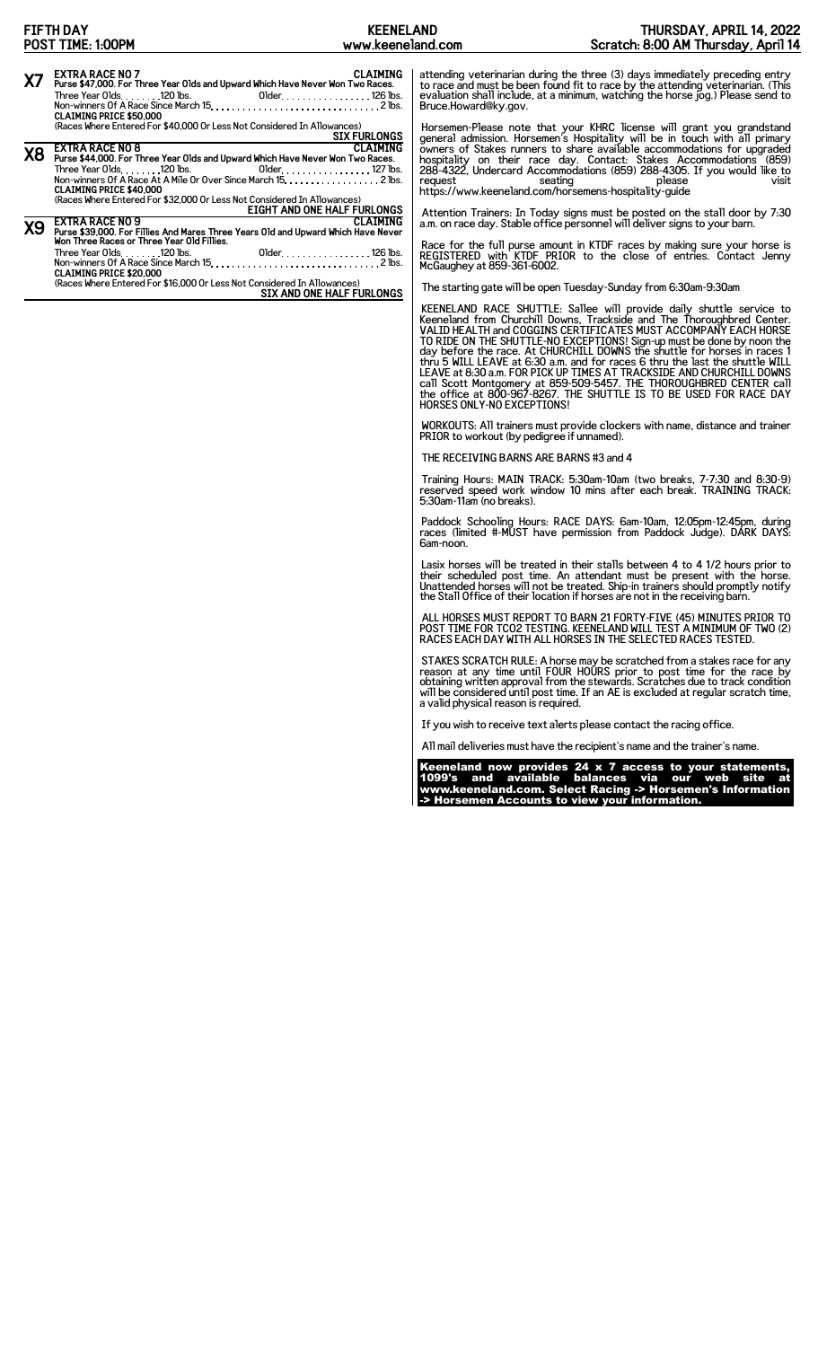|           | <b>FIFTH DAY</b><br>POST TIME: 1:00PM                                                                                                                                                                                                                                                   | <b>KEENELAND</b><br>www.keeneland.com             | THURSDAY, APRIL 14, 2022<br>Scratch: 8:00 AM Thursday, April 14                                                                                                                                                                                                                                                                                                                                                                                                                                                                                                                                                                                                                                                      |
|-----------|-----------------------------------------------------------------------------------------------------------------------------------------------------------------------------------------------------------------------------------------------------------------------------------------|---------------------------------------------------|----------------------------------------------------------------------------------------------------------------------------------------------------------------------------------------------------------------------------------------------------------------------------------------------------------------------------------------------------------------------------------------------------------------------------------------------------------------------------------------------------------------------------------------------------------------------------------------------------------------------------------------------------------------------------------------------------------------------|
| X7        | <b>EXTRA RACE NO 7</b><br>Purse \$47,000. For Three Year Olds and Upward Which Have Never Won Two Races.<br>Three Year Olds. $\dots$ . $120$ lbs.<br><b>CLAIMING PRICE \$50,000</b><br>(Races Where Entered For \$40,000 Or Less Not Considered In Allowances)                          | <b>CLAIMING</b><br>01 der. 126 lbs.               | attending veterinarian during the three (3) days immediately preceding entry<br>to race and must be been found fit to race by the attending veterinarian. (This<br>evaluation shall include, at a minimum, watching the horse jog.) Please send to<br>Bruce.Howard@ky.gov.                                                                                                                                                                                                                                                                                                                                                                                                                                           |
| <b>X8</b> | <b>EXTRA RACE NO 8</b><br>Purse \$44,000. For Three Year Olds and Upward Which Have Never Won Two Races.<br>Non-winners Of A Race At A Mile Or Over Since March 15. 2 lbs.<br><b>CLAIMING PRICE \$40,000</b><br>(Races Where Entered For \$32,000 Or Less Not Considered In Allowances) | <b>SIX FURLONGS</b><br><b>CLAIMING</b><br>request | Horsemen-Please note that your KHRC license will grant you grandstand general admission. Horsemen's Hospitality will be in touch with all primary owners of Stakes runners to share available accommodations for upgraded<br>hospitality on their race day. Contact: Stakes Accommodations (859)<br>288-4322, Undercard Accommodations (859) 288-4305. If you would like to<br>seating<br>please<br>visit<br>https://www.keeneland.com/horsemens-hospitality-quide                                                                                                                                                                                                                                                   |
| <b>X9</b> | <b>EXTRA RACE NO 9</b><br>Purse \$39,000. For Fillies And Mares Three Years Old and Upward Which Have Never<br>Won Three Races or Three Year Old Fillies.                                                                                                                               | EIGHT AND ONE HALF FURLONGS<br><b>CLAIMING</b>    | Attention Trainers. In Today signs must be posted on the stall door by 7:30<br>a.m. on race day. Stable office personnel will deliver signs to your barn.                                                                                                                                                                                                                                                                                                                                                                                                                                                                                                                                                            |
|           | Three Year Olds. 120 lbs.<br><b>CLAIMING PRICE \$20,000</b>                                                                                                                                                                                                                             | 01 der. 126 lbs.                                  | Race for the full purse amount in KTDF races by making sure your horse is REGISTERED with KTDF PRIOR to the close of entries. Contact Jenny<br>McGaughey at 859-361-6002.                                                                                                                                                                                                                                                                                                                                                                                                                                                                                                                                            |
|           | (Races Where Entered For \$16,000 Or Less Not Considered In Allowances)                                                                                                                                                                                                                 | SIX AND ONE HALF FURLONGS                         | The starting gate will be open Tuesday-Sunday from 6:30am-9:30am                                                                                                                                                                                                                                                                                                                                                                                                                                                                                                                                                                                                                                                     |
|           |                                                                                                                                                                                                                                                                                         |                                                   | KEENELAND RACE SHUTTLE: Sallee will provide daily shuttle service to<br>Keeneland from Churchill Downs, Trackside and The Thoroughbred Center.<br>VALID HEALTH and COGGINS CERTIFICATES MUST ACCOMPANY EACH HORSE<br>TO RIDE ON THE SHUTTLE-NO EXCEPTIONS! Sign-up must be done by noon the<br>day before the race. At CHURCHILL DOWNS the shuttle for horses in races 1<br>thru 5 WILL LEAVE at 6:30 a.m. and for races 6 thru the last the shuttle WILL<br>LEAVE at 8:30 a.m. FOR PICK UP TIMES AT TRACKSIDE AND CHURCHILL DOWNS<br>call Scott Montgomery at 859-509-5457. THE THOROUGHBRED CENTER call<br>the office at 800-967-8267. THE SHUTTLE IS TO BE USED FOR RACE DAY<br><b>HORSES ONLY-NO EXCEPTIONS!</b> |
|           |                                                                                                                                                                                                                                                                                         |                                                   | WORKOUTS: All trainers must provide clockers with name, distance and trainer<br>PRIOR to workout (by pedigree if unnamed).                                                                                                                                                                                                                                                                                                                                                                                                                                                                                                                                                                                           |
|           |                                                                                                                                                                                                                                                                                         |                                                   | THE RECEIVING BARNS ARE BARNS #3 and 4                                                                                                                                                                                                                                                                                                                                                                                                                                                                                                                                                                                                                                                                               |
|           |                                                                                                                                                                                                                                                                                         |                                                   | Training Hours: MAIN TRACK: 5:30am-10am (two breaks, 7-7:30 and 8:30-9)<br>reserved speed work window 10 mins after each break. TRAINING TRACK:<br>5:30am-11am (no breaks).                                                                                                                                                                                                                                                                                                                                                                                                                                                                                                                                          |
|           |                                                                                                                                                                                                                                                                                         | 6am-noon.                                         | Paddock Schooling Hours: RACE DAYS: 6am-10am, 12:05pm-12:45pm, during<br>races (limited #-MUST have permission from Paddock Judge). DARK DAYS:                                                                                                                                                                                                                                                                                                                                                                                                                                                                                                                                                                       |
|           |                                                                                                                                                                                                                                                                                         |                                                   | Lasix horses will be treated in their stalls between 4 to 4 1/2 hours prior to<br>their scheduled post time. An attendant must be present with the horse.<br>Unattended horses will not be treated. Ship-in trainers should promptly notify<br>the Stall Office of their location if horses are not in the receiving barn.                                                                                                                                                                                                                                                                                                                                                                                           |
|           |                                                                                                                                                                                                                                                                                         |                                                   | ALL HORSES MUST REPORT TO BARN 21 FORTY-FIVE (45) MINUTES PRIOR TO<br>POST TIME FOR TCO2 TESTING. KEENELAND WILL TEST A MINIMUM OF TWO (2)<br>RACES EACH DAY WITH ALL HORSES IN THE SELECTED RACES TESTED.                                                                                                                                                                                                                                                                                                                                                                                                                                                                                                           |

STAKES SCRATCH RULE: A horse may be scratched from a stakes race for any<br>reason at any time until FOUR HOURS prior to post time for the race by<br>obtaining written approval from the stewards. Scratches due to track condition

If you wish to receive text alerts please contact the racing office.

All mail deliveries must have the recipient's name and the trainer's name.

Keeneland now provides 24 x 7 access to your statements, 1099's and available balances via our web site at www.keeneland.com. Select Racing -> Horsemen's Information -> Horsemen Accounts to view your information.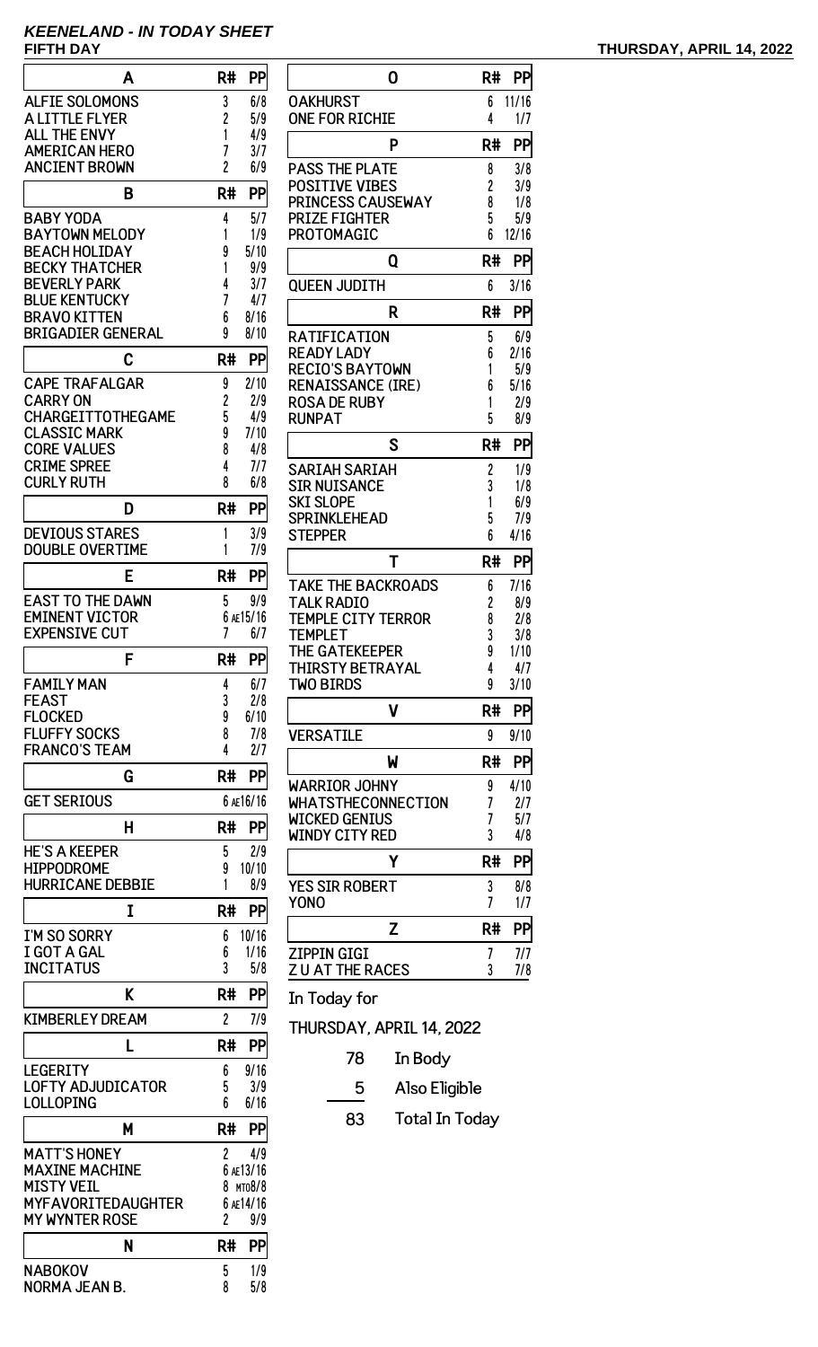# **KEENELAND - IN TODAY SHEET**

| Α                                        | R#             | PP        |
|------------------------------------------|----------------|-----------|
| <b>ALFIE SOLOMONS</b>                    | 3              | 6/8       |
| A LITTLE FLYER                           | 2              | 5/9       |
| <b>ALL THE ENVY</b>                      | 1              | 4/9       |
| <b>AMERICAN HERO</b>                     | 7              | 3/7       |
| <b>ANCIENT BROWN</b>                     | $\overline{c}$ | 6/9       |
|                                          |                |           |
| B                                        | R#             | PP        |
| <b>BABY YODA</b>                         | 4              | 5/7       |
| <b>BAYTOWN MELODY</b>                    | 1              | 1/9       |
| <b>BEACH HOLIDAY</b>                     | 9              | 5/10      |
| <b>BECKY THATCHER</b>                    | 1              | 9/9       |
| <b>BEVERLY PARK</b>                      | 4              | 3/7       |
| <b>BLUE KENTUCKY</b>                     | 7              | 4/7       |
| <b>BRAVO KITTEN</b>                      | 6              | 8/16      |
| <b>BRIGADIER GENERAL</b>                 | 9              | 8/10      |
| C                                        | R#             | PP        |
|                                          |                |           |
| <b>CAPE TRAFALGAR</b>                    | 9              | 2/10      |
| <b>CARRY ON</b>                          | 2              | 2/9       |
| CHARGEITTOTHEGAME                        | 5              | 4/9       |
| <b>CLASSIC MARK</b>                      | 9              | 7/10      |
| <b>CORE VALUES</b><br><b>CRIME SPREE</b> | 8              | 4/8       |
| <b>CURLY RUTH</b>                        | 4<br>8         | 7/7       |
|                                          |                | 6/8       |
| D                                        | R#             | PP        |
| <b>DEVIOUS STARES</b>                    | 1              | 3/9       |
| <b>DOUBLE OVERTIME</b>                   | 1              | 7/9       |
|                                          |                |           |
| E                                        | R#             | PP        |
| <b>EAST TO THE DAWN</b>                  | 5              | 9/9       |
| <b>EMINENT VICTOR</b>                    |                | 6 AE15/16 |
| <b>EXPENSIVE CUT</b>                     | 7              | 6/7       |
|                                          |                |           |
| F                                        | R#             | <b>PP</b> |
| <b>FAMILY MAN</b>                        | 4              | 6/7       |
| <b>FEAST</b>                             | 3              | 2/8       |
| <b>FLOCKED</b>                           | 9              | 6/10      |
| <b>FLUFFY SOCKS</b>                      | 8              | 7/8       |
| <b>FRANCO'S TEAM</b>                     | 4              | 2/7       |
|                                          | R#             | PP        |
| G                                        |                |           |
| <b>GET SERIOUS</b>                       |                | 6 AE16/16 |
| н                                        | R#             | PP        |
|                                          |                |           |
| <b>HE'S A KEEPER</b>                     | 5              | 2/9       |
| <b>HIPPODROME</b>                        | 9              | 10/10     |
| <b>HURRICANE DEBBIE</b>                  | 1              | 8/9       |
| I                                        | R#             | PP        |
|                                          |                |           |
| I'M SO SORRY                             | 6              | 10/16     |
| I GOT A GAL                              | 6<br>3         | 1/16      |
| <b>INCITATUS</b>                         |                | 5/8       |
| K                                        | R#             | PP        |
| <b>KIMBERLEY DREAM</b>                   | $\overline{c}$ | 7/9       |
|                                          |                |           |
| L                                        | R#             | PP        |
| <b>LEGERITY</b>                          | 6              | 9/16      |
| LOFTY ADJUDICATOR                        | 5              | 3/9       |
| LOLLOPING                                | 6              | 6/16      |
|                                          |                |           |
| M                                        | R#             | PP        |
| <b>MATT'S HONEY</b>                      | 2              | 4/9       |
| <b>MAXINE MACHINE</b>                    |                | 6 AE13/16 |
| <b>MISTY VEIL</b>                        | 8              | MT08/8    |
| <b>MYFAVORITEDAUGHTER</b>                |                | 6 AE14/16 |
| <b>MY WYNTER ROSE</b>                    | 2              | 9/9       |
|                                          |                |           |
| N                                        | R#             | PP        |
| <b>NABOKOV</b>                           | 5              | 1/9       |

| 0                         | R# | PP    |
|---------------------------|----|-------|
| OAKHURST                  | 6  | 11/16 |
| <b>ONE FOR RICHIE</b>     | 4  | 1/7   |
| P                         | R# | PP    |
| <b>PASS THE PLATE</b>     | 8  | 3/8   |
| <b>POSITIVE VIBES</b>     | 2  | 3/9   |
| PRINCESS CAUSEWAY         | 8  | 1/8   |
| <b>PRIZE FIGHTER</b>      | 5  | 5/9   |
| PROTOMAGIC                | 6  | 12/16 |
| Q                         | R# | PP    |
| <b>QUEEN JUDITH</b>       | 6  | 3/16  |
| R                         | R# | PP    |
| RATIFICATION              | 5  | 6/9   |
| <b>READY LADY</b>         | 6  | 2/16  |
| <b>RECIO'S BAYTOWN</b>    | 1  | 5/9   |
| <b>RENAISSANCE (IRE)</b>  | 6  | 5/16  |
| <b>ROSA DE RUBY</b>       | 1  | 2/9   |
| <b>RUNPAT</b>             | 5  | 8/9   |
| S                         | R# | PP    |
| SARIAH SARIAH             | 2  | 1/9   |
| <b>SIR NUISANCE</b>       | 3  | 1/8   |
| <b>SKI SLOPE</b>          | 1  | 6/9   |
| <b>SPRINKLEHEAD</b>       | 5  | 7/9   |
| <b>STEPPER</b>            | 6  | 4/16  |
| T                         | R# | PP    |
| <b>TAKE THE BACKROADS</b> | 6  | 7/16  |
| <b>TALK RADIO</b>         | 2  | 8/9   |
| TEMPLE CITY TERROR        | 8  | 2/8   |
| <b>TEMPLET</b>            | 3  | 3/8   |
| THE GATEKEEPER            | 9  | 1/10  |
| THIRSTY BETRAYAL          | 4  | 4/7   |
| <b>TWO BIRDS</b>          | 9  | 3/10  |
| ۷                         | R# | PP    |
| <b>VERSATILE</b>          | 9  | 9/10  |
| W                         | R# | PP    |
| <b>WARRIOR JOHNY</b>      | 9  | 4/10  |
| <b>WHATSTHECONNECTION</b> | 7  | 2/7   |
| <b>WICKED GENIUS</b>      | 7  | 5/7   |
| <b>WINDY CITY RED</b>     | 3  | 4/8   |
| Υ                         | R# | PP    |
| <b>YES SIR ROBERT</b>     | 3  | 8/8   |
| <b>YONO</b>               | 7  | 1/7   |
| Z                         | R# | PP    |
| ZIPPIN GIGI               | 7  | 7/7   |
| <b>ZUAT THE RACES</b>     | 3  | 7/8   |

In Today for

 $\frac{1}{8}$  5/8

NORMA JEAN B. 

THURSDAY, APRIL 14, 2022

- 78 In Body
- 5 Also Eligible
- 83 Total In Today

# **FIFTH DAY THURSDAY, APRIL 14, 2022**